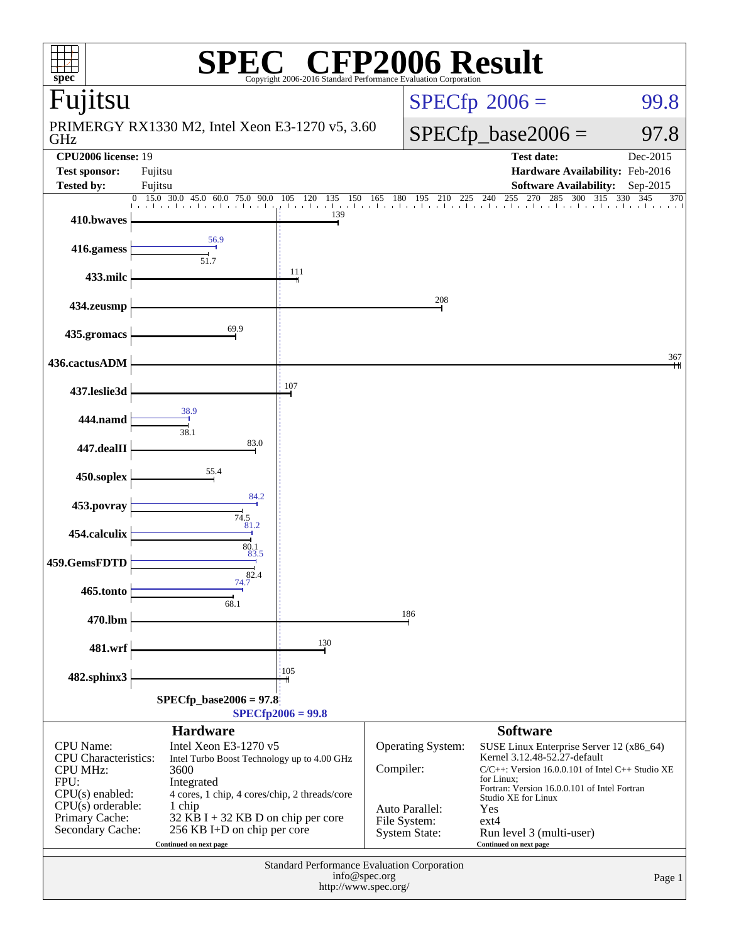| <b>P2006 Result</b><br>$\overline{R}$<br>$spec^*$<br>Copyright 2006-2016 Standard Performance Evaluation Cornoratio                                   |                                                                                                                                                                                                                                                                                          |                                                |  |                                                                                                                                                                                                                                                                                               |                                                                                       |                          |  |  |  |
|-------------------------------------------------------------------------------------------------------------------------------------------------------|------------------------------------------------------------------------------------------------------------------------------------------------------------------------------------------------------------------------------------------------------------------------------------------|------------------------------------------------|--|-----------------------------------------------------------------------------------------------------------------------------------------------------------------------------------------------------------------------------------------------------------------------------------------------|---------------------------------------------------------------------------------------|--------------------------|--|--|--|
| Fujitsu                                                                                                                                               |                                                                                                                                                                                                                                                                                          |                                                |  | $SPECfp^{\circ}2006 =$<br>99.8                                                                                                                                                                                                                                                                |                                                                                       |                          |  |  |  |
| GHz                                                                                                                                                   | PRIMERGY RX1330 M2, Intel Xeon E3-1270 v5, 3.60                                                                                                                                                                                                                                          |                                                |  |                                                                                                                                                                                                                                                                                               | $SPECfp\_base2006 =$<br>97.8                                                          |                          |  |  |  |
| <b>CPU2006</b> license: 19<br><b>Test sponsor:</b><br>Tested by:                                                                                      | Fujitsu<br>Fujitsu                                                                                                                                                                                                                                                                       |                                                |  |                                                                                                                                                                                                                                                                                               | <b>Test date:</b><br>Hardware Availability: Feb-2016<br><b>Software Availability:</b> | Dec-2015<br>$Sep-2015$   |  |  |  |
| $\overline{0}$<br>410.bwaves                                                                                                                          | 15.0<br>30.0 45.0<br>90.0<br>60.0 75.0                                                                                                                                                                                                                                                   | 105<br>135<br>- 120<br><b>Tan Landa</b><br>139 |  |                                                                                                                                                                                                                                                                                               | 285<br>255<br>270<br>300<br>150 165 180 195 210 225 240 255 270 285                   | 315<br>330<br>345<br>370 |  |  |  |
| 416.gamess                                                                                                                                            | 56.9                                                                                                                                                                                                                                                                                     |                                                |  |                                                                                                                                                                                                                                                                                               |                                                                                       |                          |  |  |  |
| 433.milc                                                                                                                                              | 51.7                                                                                                                                                                                                                                                                                     | 111                                            |  |                                                                                                                                                                                                                                                                                               |                                                                                       |                          |  |  |  |
| 434.zeusmp                                                                                                                                            |                                                                                                                                                                                                                                                                                          |                                                |  | 208                                                                                                                                                                                                                                                                                           |                                                                                       |                          |  |  |  |
| 435.gromacs                                                                                                                                           | 69.9                                                                                                                                                                                                                                                                                     |                                                |  |                                                                                                                                                                                                                                                                                               |                                                                                       |                          |  |  |  |
| 436.cactusADM                                                                                                                                         |                                                                                                                                                                                                                                                                                          |                                                |  |                                                                                                                                                                                                                                                                                               |                                                                                       | 367                      |  |  |  |
| 437.leslie3d                                                                                                                                          |                                                                                                                                                                                                                                                                                          | 107                                            |  |                                                                                                                                                                                                                                                                                               |                                                                                       |                          |  |  |  |
| 444.namd                                                                                                                                              | 38.9<br>38.1                                                                                                                                                                                                                                                                             |                                                |  |                                                                                                                                                                                                                                                                                               |                                                                                       |                          |  |  |  |
| 447.dealII                                                                                                                                            | 83.0                                                                                                                                                                                                                                                                                     |                                                |  |                                                                                                                                                                                                                                                                                               |                                                                                       |                          |  |  |  |
| 450.soplex                                                                                                                                            | 55.4<br>84.2                                                                                                                                                                                                                                                                             |                                                |  |                                                                                                                                                                                                                                                                                               |                                                                                       |                          |  |  |  |
| 453.povray                                                                                                                                            | $74.5$ 81.2                                                                                                                                                                                                                                                                              |                                                |  |                                                                                                                                                                                                                                                                                               |                                                                                       |                          |  |  |  |
| 454.calculix                                                                                                                                          | 80.1<br>83.5                                                                                                                                                                                                                                                                             |                                                |  |                                                                                                                                                                                                                                                                                               |                                                                                       |                          |  |  |  |
| 459.GemsFDTD                                                                                                                                          | 82.4<br>74.7                                                                                                                                                                                                                                                                             |                                                |  |                                                                                                                                                                                                                                                                                               |                                                                                       |                          |  |  |  |
| 465.tonto<br>470.lbm                                                                                                                                  | 68.1                                                                                                                                                                                                                                                                                     |                                                |  | 186                                                                                                                                                                                                                                                                                           |                                                                                       |                          |  |  |  |
| 481.wrf                                                                                                                                               |                                                                                                                                                                                                                                                                                          | 130                                            |  |                                                                                                                                                                                                                                                                                               |                                                                                       |                          |  |  |  |
| 482.sphinx3                                                                                                                                           |                                                                                                                                                                                                                                                                                          | 105                                            |  |                                                                                                                                                                                                                                                                                               |                                                                                       |                          |  |  |  |
|                                                                                                                                                       | $SPECfp\_base2006 = 97.8$                                                                                                                                                                                                                                                                |                                                |  |                                                                                                                                                                                                                                                                                               |                                                                                       |                          |  |  |  |
|                                                                                                                                                       | <b>Hardware</b>                                                                                                                                                                                                                                                                          | $SPECfp2006 = 99.8$                            |  |                                                                                                                                                                                                                                                                                               | <b>Software</b>                                                                       |                          |  |  |  |
| CPU Name:<br><b>CPU</b> Characteristics:<br><b>CPU MHz:</b><br>FPU:<br>$CPU(s)$ enabled:<br>$CPU(s)$ orderable:<br>Primary Cache:<br>Secondary Cache: | Intel Xeon E3-1270 v5<br>Operating System:<br>Intel Turbo Boost Technology up to 4.00 GHz<br>Compiler:<br>4 cores, 1 chip, 4 cores/chip, 2 threads/core<br>Auto Parallel:<br>$32$ KB I + 32 KB D on chip per core<br>File System:<br>256 KB I+D on chip per core<br><b>System State:</b> |                                                |  | SUSE Linux Enterprise Server 12 (x86_64)<br>Kernel 3.12.48-52.27-default<br>$C/C++$ : Version 16.0.0.101 of Intel C++ Studio XE<br>for Linux:<br>Fortran: Version 16.0.0.101 of Intel Fortran<br>Studio XE for Linux<br>Yes<br>$ext{4}$<br>Run level 3 (multi-user)<br>Continued on next page |                                                                                       |                          |  |  |  |
| Standard Performance Evaluation Corporation<br>info@spec.org<br>Page 1<br>http://www.spec.org/                                                        |                                                                                                                                                                                                                                                                                          |                                                |  |                                                                                                                                                                                                                                                                                               |                                                                                       |                          |  |  |  |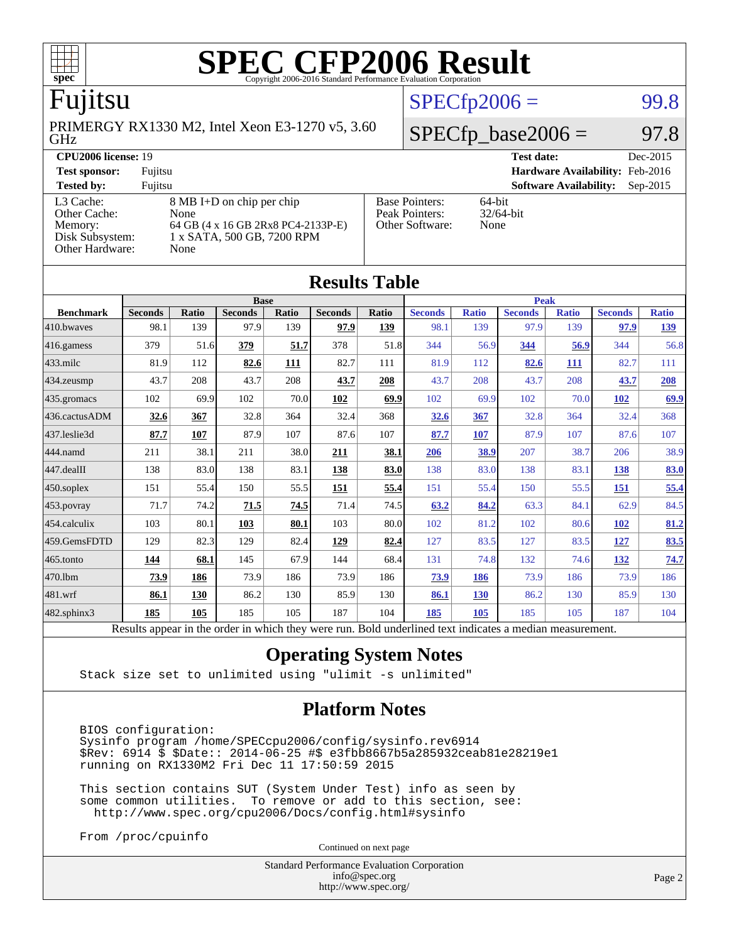

### Fujitsu

GHz PRIMERGY RX1330 M2, Intel Xeon E3-1270 v5, 3.60

### **[CPU2006 license:](http://www.spec.org/auto/cpu2006/Docs/result-fields.html#CPU2006license)** 19 **[Test date:](http://www.spec.org/auto/cpu2006/Docs/result-fields.html#Testdate)** Dec-2015

[Other Cache:](http://www.spec.org/auto/cpu2006/Docs/result-fields.html#OtherCache)

[Other Hardware:](http://www.spec.org/auto/cpu2006/Docs/result-fields.html#OtherHardware) None

[L3 Cache:](http://www.spec.org/auto/cpu2006/Docs/result-fields.html#L3Cache) 8 MB I+D on chip per chip<br>Other Cache: None [Memory:](http://www.spec.org/auto/cpu2006/Docs/result-fields.html#Memory) 64 GB (4 x 16 GB 2Rx8 PC4-2133P-E) [Disk Subsystem:](http://www.spec.org/auto/cpu2006/Docs/result-fields.html#DiskSubsystem) 1 x SATA, 500 GB, 7200 RPM

| <b>Test sponsor:</b> | Fuiitsu                            | <b>Hardware Availability: Feb-2016</b> |                               |          |
|----------------------|------------------------------------|----------------------------------------|-------------------------------|----------|
| <b>Tested by:</b>    | Fuiitsu                            |                                        | <b>Software Availability:</b> | Sep-2015 |
| L3 Cache:            | 8 MB I+D on chip per chip          | <b>Base Pointers:</b>                  | 64-bit                        |          |
| Other Cache:         | None                               | Peak Pointers:                         | $32/64$ -bit                  |          |
| Memory:              | 64 GB (4 x 16 GB 2Rx8 PC4-2133P-E) | Other Software:                        | None                          |          |

 $SPECTp2006 =$  99.8

 $SPECfp\_base2006 = 97.8$ 

| <b>Results Table</b> |                                                                                                          |              |                |       |                |       |                |              |                |              |                |              |
|----------------------|----------------------------------------------------------------------------------------------------------|--------------|----------------|-------|----------------|-------|----------------|--------------|----------------|--------------|----------------|--------------|
|                      | <b>Base</b>                                                                                              |              |                |       |                |       | <b>Peak</b>    |              |                |              |                |              |
| <b>Benchmark</b>     | <b>Seconds</b>                                                                                           | <b>Ratio</b> | <b>Seconds</b> | Ratio | <b>Seconds</b> | Ratio | <b>Seconds</b> | <b>Ratio</b> | <b>Seconds</b> | <b>Ratio</b> | <b>Seconds</b> | <b>Ratio</b> |
| $410$ .bwayes        | 98.1                                                                                                     | 139          | 97.9           | 139   | 97.9           | 139   | 98.1           | 139          | 97.9           | 139          | 97.9           | <u>139</u>   |
| 416.gamess           | 379                                                                                                      | 51.6         | 379            | 51.7  | 378            | 51.8  | 344            | 56.9         | 344            | 56.9         | 344            | 56.8         |
| $433$ .milc          | 81.9                                                                                                     | 112          | 82.6           | 111   | 82.7           | 111   | 81.9           | 112          | 82.6           | 111          | 82.7           | 111          |
| $ 434$ . zeusmp      | 43.7                                                                                                     | 208          | 43.7           | 208   | 43.7           | 208   | 43.7           | 208          | 43.7           | 208          | 43.7           | 208          |
| $435.$ gromacs       | 102                                                                                                      | 69.9         | 102            | 70.0  | 102            | 69.9  | 102            | 69.9         | 102            | 70.0         | <b>102</b>     | 69.9         |
| 436.cactusADM        | 32.6                                                                                                     | 367          | 32.8           | 364   | 32.4           | 368   | 32.6           | 367          | 32.8           | 364          | 32.4           | 368          |
| 437.leslie3d         | 87.7                                                                                                     | 107          | 87.9           | 107   | 87.6           | 107   | 87.7           | 107          | 87.9           | 107          | 87.6           | 107          |
| 444.namd             | 211                                                                                                      | 38.1         | 211            | 38.0  | 211            | 38.1  | 206            | 38.9         | 207            | 38.7         | 206            | 38.9         |
| 447.dealII           | 138                                                                                                      | 83.0         | 138            | 83.1  | 138            | 83.0  | 138            | 83.0         | 138            | 83.1         | 138            | <b>83.0</b>  |
| $450$ .soplex        | 151                                                                                                      | 55.4         | 150            | 55.5  | 151            | 55.4  | 151            | 55.4         | 150            | 55.5         | 151            | 55.4         |
| $453$ .povray        | 71.7                                                                                                     | 74.2         | 71.5           | 74.5  | 71.4           | 74.5  | 63.2           | 84.2         | 63.3           | 84.1         | 62.9           | 84.5         |
| $ 454$ .calculix     | 103                                                                                                      | 80.1         | 103            | 80.1  | 103            | 80.0  | 102            | 81.2         | 102            | 80.6         | <b>102</b>     | 81.2         |
| 459.GemsFDTD         | 129                                                                                                      | 82.3         | 129            | 82.4  | 129            | 82.4  | 127            | 83.5         | 127            | 83.5         | <u>127</u>     | 83.5         |
| $465$ .tonto         | 144                                                                                                      | 68.1         | 145            | 67.9  | 144            | 68.4  | 131            | 74.8         | 132            | 74.6         | 132            | 74.7         |
| 470.1bm              | 73.9                                                                                                     | 186          | 73.9           | 186   | 73.9           | 186   | <u>73.9</u>    | 186          | 73.9           | 186          | 73.9           | 186          |
| 481.wrf              | 86.1                                                                                                     | 130          | 86.2           | 130   | 85.9           | 130   | 86.1           | 130          | 86.2           | 130          | 85.9           | 130          |
| 482.sphinx3          | 185                                                                                                      | 105          | 185            | 105   | 187            | 104   | 185            | 105          | 185            | 105          | 187            | 104          |
|                      | Results appear in the order in which they were run. Bold underlined text indicates a median measurement. |              |                |       |                |       |                |              |                |              |                |              |

#### **[Operating System Notes](http://www.spec.org/auto/cpu2006/Docs/result-fields.html#OperatingSystemNotes)**

Stack size set to unlimited using "ulimit -s unlimited"

### **[Platform Notes](http://www.spec.org/auto/cpu2006/Docs/result-fields.html#PlatformNotes)**

 BIOS configuration: Sysinfo program /home/SPECcpu2006/config/sysinfo.rev6914 \$Rev: 6914 \$ \$Date:: 2014-06-25 #\$ e3fbb8667b5a285932ceab81e28219e1 running on RX1330M2 Fri Dec 11 17:50:59 2015

 This section contains SUT (System Under Test) info as seen by some common utilities. To remove or add to this section, see: <http://www.spec.org/cpu2006/Docs/config.html#sysinfo>

From /proc/cpuinfo

Continued on next page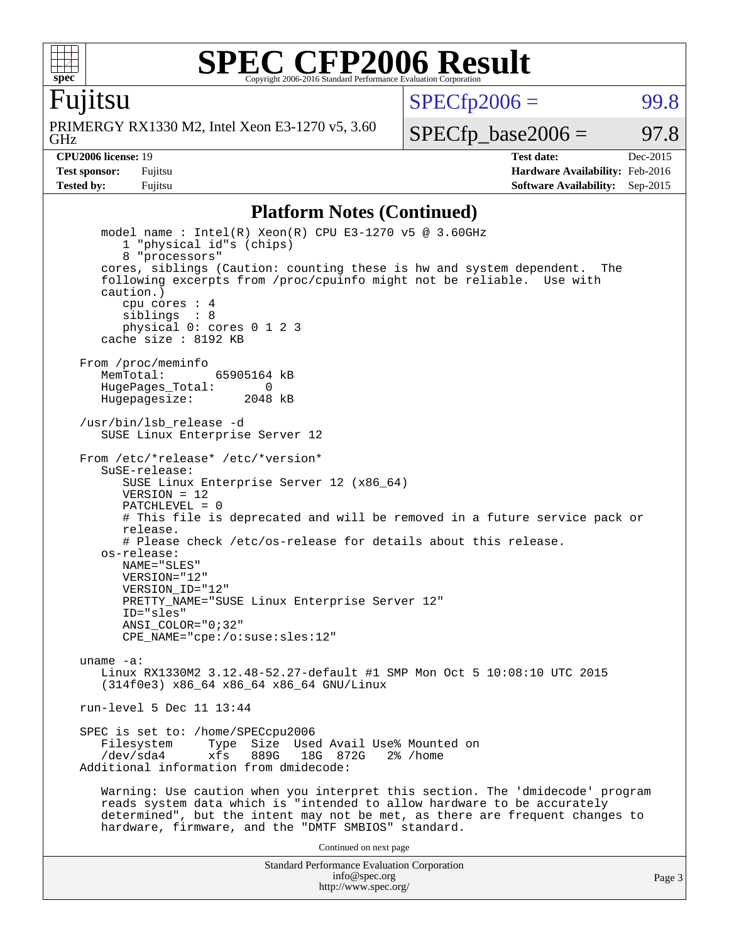

 $SPECTp2006 =$  99.8

Fujitsu

GHz PRIMERGY RX1330 M2, Intel Xeon E3-1270 v5, 3.60  $SPECTp\_base2006 = 97.8$ 

**[CPU2006 license:](http://www.spec.org/auto/cpu2006/Docs/result-fields.html#CPU2006license)** 19 **[Test date:](http://www.spec.org/auto/cpu2006/Docs/result-fields.html#Testdate)** Dec-2015 **[Test sponsor:](http://www.spec.org/auto/cpu2006/Docs/result-fields.html#Testsponsor)** Fujitsu **[Hardware Availability:](http://www.spec.org/auto/cpu2006/Docs/result-fields.html#HardwareAvailability)** Feb-2016 **[Tested by:](http://www.spec.org/auto/cpu2006/Docs/result-fields.html#Testedby)** Fujitsu **Fugital Example 2015 [Software Availability:](http://www.spec.org/auto/cpu2006/Docs/result-fields.html#SoftwareAvailability)** Sep-2015

#### **[Platform Notes \(Continued\)](http://www.spec.org/auto/cpu2006/Docs/result-fields.html#PlatformNotes)**

Standard Performance Evaluation Corporation [info@spec.org](mailto:info@spec.org) model name : Intel(R) Xeon(R) CPU E3-1270 v5 @ 3.60GHz 1 "physical id"s (chips) 8 "processors" cores, siblings (Caution: counting these is hw and system dependent. The following excerpts from /proc/cpuinfo might not be reliable. Use with caution.) cpu cores : 4 siblings : 8 physical 0: cores 0 1 2 3 cache size : 8192 KB From /proc/meminfo MemTotal: 65905164 kB HugePages\_Total: 0<br>Hugepagesize: 2048 kB Hugepagesize: /usr/bin/lsb\_release -d SUSE Linux Enterprise Server 12 From /etc/\*release\* /etc/\*version\* SuSE-release: SUSE Linux Enterprise Server 12 (x86\_64)  $VFRSTON = 12$  PATCHLEVEL = 0 # This file is deprecated and will be removed in a future service pack or release. # Please check /etc/os-release for details about this release. os-release: NAME="SLES" VERSION="12" VERSION\_ID="12" PRETTY\_NAME="SUSE Linux Enterprise Server 12" ID="sles" ANSI\_COLOR="0;32" CPE\_NAME="cpe:/o:suse:sles:12" uname -a: Linux RX1330M2 3.12.48-52.27-default #1 SMP Mon Oct 5 10:08:10 UTC 2015 (314f0e3) x86\_64 x86\_64 x86\_64 GNU/Linux run-level 5 Dec 11 13:44 SPEC is set to: /home/SPECcpu2006<br>Filesystem Type Size Use Type Size Used Avail Use% Mounted on /dev/sda4 xfs 889G 18G 872G 2% /home Additional information from dmidecode: Warning: Use caution when you interpret this section. The 'dmidecode' program reads system data which is "intended to allow hardware to be accurately determined", but the intent may not be met, as there are frequent changes to hardware, firmware, and the "DMTF SMBIOS" standard. Continued on next page

<http://www.spec.org/>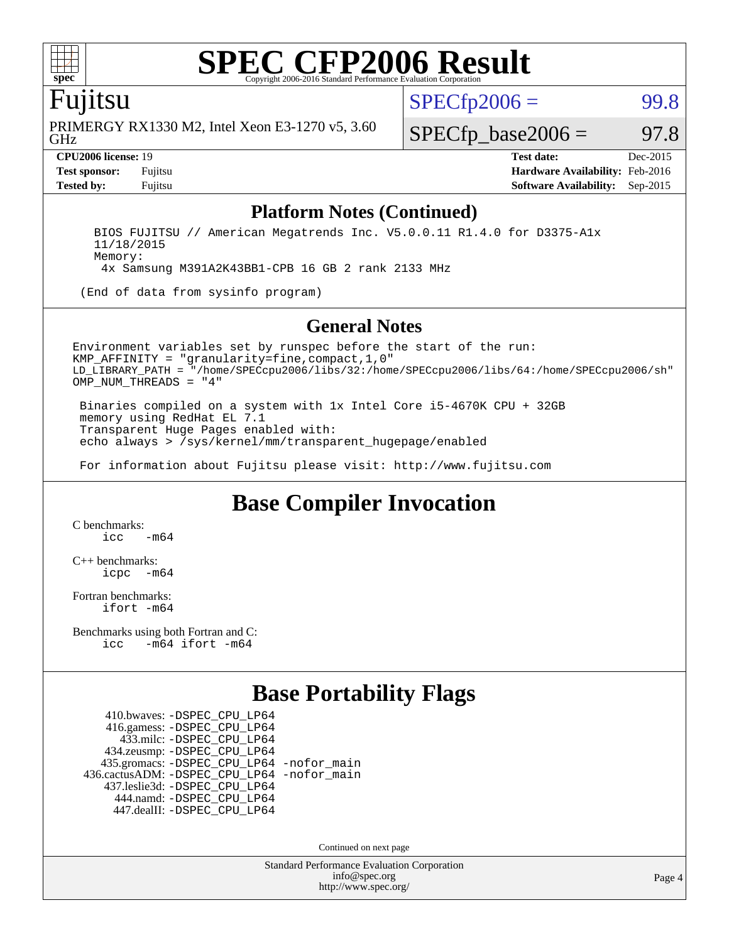

### Fujitsu

GHz PRIMERGY RX1330 M2, Intel Xeon E3-1270 v5, 3.60  $SPECTp2006 =$  99.8

 $SPECTp\_base2006 = 97.8$ 

**[CPU2006 license:](http://www.spec.org/auto/cpu2006/Docs/result-fields.html#CPU2006license)** 19 **[Test date:](http://www.spec.org/auto/cpu2006/Docs/result-fields.html#Testdate)** Dec-2015 **[Test sponsor:](http://www.spec.org/auto/cpu2006/Docs/result-fields.html#Testsponsor)** Fujitsu **[Hardware Availability:](http://www.spec.org/auto/cpu2006/Docs/result-fields.html#HardwareAvailability)** Feb-2016 **[Tested by:](http://www.spec.org/auto/cpu2006/Docs/result-fields.html#Testedby)** Fujitsu **[Software Availability:](http://www.spec.org/auto/cpu2006/Docs/result-fields.html#SoftwareAvailability)** Sep-2015

#### **[Platform Notes \(Continued\)](http://www.spec.org/auto/cpu2006/Docs/result-fields.html#PlatformNotes)**

 BIOS FUJITSU // American Megatrends Inc. V5.0.0.11 R1.4.0 for D3375-A1x 11/18/2015 Memory: 4x Samsung M391A2K43BB1-CPB 16 GB 2 rank 2133 MHz

(End of data from sysinfo program)

#### **[General Notes](http://www.spec.org/auto/cpu2006/Docs/result-fields.html#GeneralNotes)**

Environment variables set by runspec before the start of the run: KMP\_AFFINITY = "granularity=fine,compact,1,0" LD\_LIBRARY\_PATH = "/home/SPECcpu2006/libs/32:/home/SPECcpu2006/libs/64:/home/SPECcpu2006/sh" OMP NUM THREADS = "4"

 Binaries compiled on a system with 1x Intel Core i5-4670K CPU + 32GB memory using RedHat EL 7.1 Transparent Huge Pages enabled with: echo always > /sys/kernel/mm/transparent\_hugepage/enabled

For information about Fujitsu please visit: <http://www.fujitsu.com>

### **[Base Compiler Invocation](http://www.spec.org/auto/cpu2006/Docs/result-fields.html#BaseCompilerInvocation)**

[C benchmarks](http://www.spec.org/auto/cpu2006/Docs/result-fields.html#Cbenchmarks):  $\frac{1}{2}$ cc  $-\text{m64}$ 

[C++ benchmarks:](http://www.spec.org/auto/cpu2006/Docs/result-fields.html#CXXbenchmarks) [icpc -m64](http://www.spec.org/cpu2006/results/res2016q1/cpu2006-20160111-38667.flags.html#user_CXXbase_intel_icpc_64bit_bedb90c1146cab66620883ef4f41a67e)

[Fortran benchmarks](http://www.spec.org/auto/cpu2006/Docs/result-fields.html#Fortranbenchmarks): [ifort -m64](http://www.spec.org/cpu2006/results/res2016q1/cpu2006-20160111-38667.flags.html#user_FCbase_intel_ifort_64bit_ee9d0fb25645d0210d97eb0527dcc06e)

[Benchmarks using both Fortran and C](http://www.spec.org/auto/cpu2006/Docs/result-fields.html#BenchmarksusingbothFortranandC): [icc -m64](http://www.spec.org/cpu2006/results/res2016q1/cpu2006-20160111-38667.flags.html#user_CC_FCbase_intel_icc_64bit_0b7121f5ab7cfabee23d88897260401c) [ifort -m64](http://www.spec.org/cpu2006/results/res2016q1/cpu2006-20160111-38667.flags.html#user_CC_FCbase_intel_ifort_64bit_ee9d0fb25645d0210d97eb0527dcc06e)

### **[Base Portability Flags](http://www.spec.org/auto/cpu2006/Docs/result-fields.html#BasePortabilityFlags)**

 410.bwaves: [-DSPEC\\_CPU\\_LP64](http://www.spec.org/cpu2006/results/res2016q1/cpu2006-20160111-38667.flags.html#suite_basePORTABILITY410_bwaves_DSPEC_CPU_LP64) 416.gamess: [-DSPEC\\_CPU\\_LP64](http://www.spec.org/cpu2006/results/res2016q1/cpu2006-20160111-38667.flags.html#suite_basePORTABILITY416_gamess_DSPEC_CPU_LP64) 433.milc: [-DSPEC\\_CPU\\_LP64](http://www.spec.org/cpu2006/results/res2016q1/cpu2006-20160111-38667.flags.html#suite_basePORTABILITY433_milc_DSPEC_CPU_LP64) 434.zeusmp: [-DSPEC\\_CPU\\_LP64](http://www.spec.org/cpu2006/results/res2016q1/cpu2006-20160111-38667.flags.html#suite_basePORTABILITY434_zeusmp_DSPEC_CPU_LP64) 435.gromacs: [-DSPEC\\_CPU\\_LP64](http://www.spec.org/cpu2006/results/res2016q1/cpu2006-20160111-38667.flags.html#suite_basePORTABILITY435_gromacs_DSPEC_CPU_LP64) [-nofor\\_main](http://www.spec.org/cpu2006/results/res2016q1/cpu2006-20160111-38667.flags.html#user_baseLDPORTABILITY435_gromacs_f-nofor_main) 436.cactusADM: [-DSPEC\\_CPU\\_LP64](http://www.spec.org/cpu2006/results/res2016q1/cpu2006-20160111-38667.flags.html#suite_basePORTABILITY436_cactusADM_DSPEC_CPU_LP64) [-nofor\\_main](http://www.spec.org/cpu2006/results/res2016q1/cpu2006-20160111-38667.flags.html#user_baseLDPORTABILITY436_cactusADM_f-nofor_main) 437.leslie3d: [-DSPEC\\_CPU\\_LP64](http://www.spec.org/cpu2006/results/res2016q1/cpu2006-20160111-38667.flags.html#suite_basePORTABILITY437_leslie3d_DSPEC_CPU_LP64) 444.namd: [-DSPEC\\_CPU\\_LP64](http://www.spec.org/cpu2006/results/res2016q1/cpu2006-20160111-38667.flags.html#suite_basePORTABILITY444_namd_DSPEC_CPU_LP64) 447.dealII: [-DSPEC\\_CPU\\_LP64](http://www.spec.org/cpu2006/results/res2016q1/cpu2006-20160111-38667.flags.html#suite_basePORTABILITY447_dealII_DSPEC_CPU_LP64)

Continued on next page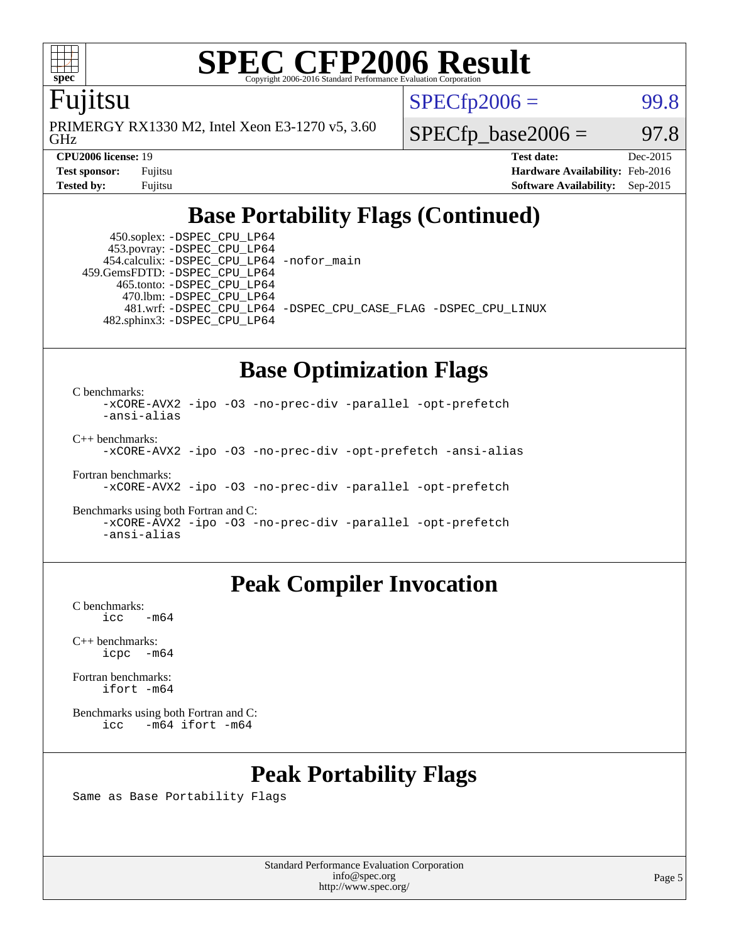

### Fujitsu

GHz PRIMERGY RX1330 M2, Intel Xeon E3-1270 v5, 3.60  $SPECTp2006 =$  99.8

 $SPECTp\_base2006 = 97.8$ 

**[CPU2006 license:](http://www.spec.org/auto/cpu2006/Docs/result-fields.html#CPU2006license)** 19 **[Test date:](http://www.spec.org/auto/cpu2006/Docs/result-fields.html#Testdate)** Dec-2015 **[Test sponsor:](http://www.spec.org/auto/cpu2006/Docs/result-fields.html#Testsponsor)** Fujitsu **[Hardware Availability:](http://www.spec.org/auto/cpu2006/Docs/result-fields.html#HardwareAvailability)** Feb-2016 **[Tested by:](http://www.spec.org/auto/cpu2006/Docs/result-fields.html#Testedby)** Fujitsu **[Software Availability:](http://www.spec.org/auto/cpu2006/Docs/result-fields.html#SoftwareAvailability)** Sep-2015

### **[Base Portability Flags \(Continued\)](http://www.spec.org/auto/cpu2006/Docs/result-fields.html#BasePortabilityFlags)**

 450.soplex: [-DSPEC\\_CPU\\_LP64](http://www.spec.org/cpu2006/results/res2016q1/cpu2006-20160111-38667.flags.html#suite_basePORTABILITY450_soplex_DSPEC_CPU_LP64) 453.povray: [-DSPEC\\_CPU\\_LP64](http://www.spec.org/cpu2006/results/res2016q1/cpu2006-20160111-38667.flags.html#suite_basePORTABILITY453_povray_DSPEC_CPU_LP64) 454.calculix: [-DSPEC\\_CPU\\_LP64](http://www.spec.org/cpu2006/results/res2016q1/cpu2006-20160111-38667.flags.html#suite_basePORTABILITY454_calculix_DSPEC_CPU_LP64) [-nofor\\_main](http://www.spec.org/cpu2006/results/res2016q1/cpu2006-20160111-38667.flags.html#user_baseLDPORTABILITY454_calculix_f-nofor_main) 459.GemsFDTD: [-DSPEC\\_CPU\\_LP64](http://www.spec.org/cpu2006/results/res2016q1/cpu2006-20160111-38667.flags.html#suite_basePORTABILITY459_GemsFDTD_DSPEC_CPU_LP64) 465.tonto: [-DSPEC\\_CPU\\_LP64](http://www.spec.org/cpu2006/results/res2016q1/cpu2006-20160111-38667.flags.html#suite_basePORTABILITY465_tonto_DSPEC_CPU_LP64) 470.lbm: [-DSPEC\\_CPU\\_LP64](http://www.spec.org/cpu2006/results/res2016q1/cpu2006-20160111-38667.flags.html#suite_basePORTABILITY470_lbm_DSPEC_CPU_LP64) 482.sphinx3: [-DSPEC\\_CPU\\_LP64](http://www.spec.org/cpu2006/results/res2016q1/cpu2006-20160111-38667.flags.html#suite_basePORTABILITY482_sphinx3_DSPEC_CPU_LP64)

481.wrf: [-DSPEC\\_CPU\\_LP64](http://www.spec.org/cpu2006/results/res2016q1/cpu2006-20160111-38667.flags.html#suite_basePORTABILITY481_wrf_DSPEC_CPU_LP64) [-DSPEC\\_CPU\\_CASE\\_FLAG](http://www.spec.org/cpu2006/results/res2016q1/cpu2006-20160111-38667.flags.html#b481.wrf_baseCPORTABILITY_DSPEC_CPU_CASE_FLAG) [-DSPEC\\_CPU\\_LINUX](http://www.spec.org/cpu2006/results/res2016q1/cpu2006-20160111-38667.flags.html#b481.wrf_baseCPORTABILITY_DSPEC_CPU_LINUX)

### **[Base Optimization Flags](http://www.spec.org/auto/cpu2006/Docs/result-fields.html#BaseOptimizationFlags)**

[C benchmarks](http://www.spec.org/auto/cpu2006/Docs/result-fields.html#Cbenchmarks):

[-xCORE-AVX2](http://www.spec.org/cpu2006/results/res2016q1/cpu2006-20160111-38667.flags.html#user_CCbase_f-xAVX2_5f5fc0cbe2c9f62c816d3e45806c70d7) [-ipo](http://www.spec.org/cpu2006/results/res2016q1/cpu2006-20160111-38667.flags.html#user_CCbase_f-ipo) [-O3](http://www.spec.org/cpu2006/results/res2016q1/cpu2006-20160111-38667.flags.html#user_CCbase_f-O3) [-no-prec-div](http://www.spec.org/cpu2006/results/res2016q1/cpu2006-20160111-38667.flags.html#user_CCbase_f-no-prec-div) [-parallel](http://www.spec.org/cpu2006/results/res2016q1/cpu2006-20160111-38667.flags.html#user_CCbase_f-parallel) [-opt-prefetch](http://www.spec.org/cpu2006/results/res2016q1/cpu2006-20160111-38667.flags.html#user_CCbase_f-opt-prefetch) [-ansi-alias](http://www.spec.org/cpu2006/results/res2016q1/cpu2006-20160111-38667.flags.html#user_CCbase_f-ansi-alias) [C++ benchmarks:](http://www.spec.org/auto/cpu2006/Docs/result-fields.html#CXXbenchmarks)

[-xCORE-AVX2](http://www.spec.org/cpu2006/results/res2016q1/cpu2006-20160111-38667.flags.html#user_CXXbase_f-xAVX2_5f5fc0cbe2c9f62c816d3e45806c70d7) [-ipo](http://www.spec.org/cpu2006/results/res2016q1/cpu2006-20160111-38667.flags.html#user_CXXbase_f-ipo) [-O3](http://www.spec.org/cpu2006/results/res2016q1/cpu2006-20160111-38667.flags.html#user_CXXbase_f-O3) [-no-prec-div](http://www.spec.org/cpu2006/results/res2016q1/cpu2006-20160111-38667.flags.html#user_CXXbase_f-no-prec-div) [-opt-prefetch](http://www.spec.org/cpu2006/results/res2016q1/cpu2006-20160111-38667.flags.html#user_CXXbase_f-opt-prefetch) [-ansi-alias](http://www.spec.org/cpu2006/results/res2016q1/cpu2006-20160111-38667.flags.html#user_CXXbase_f-ansi-alias)

[Fortran benchmarks](http://www.spec.org/auto/cpu2006/Docs/result-fields.html#Fortranbenchmarks): [-xCORE-AVX2](http://www.spec.org/cpu2006/results/res2016q1/cpu2006-20160111-38667.flags.html#user_FCbase_f-xAVX2_5f5fc0cbe2c9f62c816d3e45806c70d7) [-ipo](http://www.spec.org/cpu2006/results/res2016q1/cpu2006-20160111-38667.flags.html#user_FCbase_f-ipo) [-O3](http://www.spec.org/cpu2006/results/res2016q1/cpu2006-20160111-38667.flags.html#user_FCbase_f-O3) [-no-prec-div](http://www.spec.org/cpu2006/results/res2016q1/cpu2006-20160111-38667.flags.html#user_FCbase_f-no-prec-div) [-parallel](http://www.spec.org/cpu2006/results/res2016q1/cpu2006-20160111-38667.flags.html#user_FCbase_f-parallel) [-opt-prefetch](http://www.spec.org/cpu2006/results/res2016q1/cpu2006-20160111-38667.flags.html#user_FCbase_f-opt-prefetch)

[Benchmarks using both Fortran and C](http://www.spec.org/auto/cpu2006/Docs/result-fields.html#BenchmarksusingbothFortranandC): [-xCORE-AVX2](http://www.spec.org/cpu2006/results/res2016q1/cpu2006-20160111-38667.flags.html#user_CC_FCbase_f-xAVX2_5f5fc0cbe2c9f62c816d3e45806c70d7) [-ipo](http://www.spec.org/cpu2006/results/res2016q1/cpu2006-20160111-38667.flags.html#user_CC_FCbase_f-ipo) [-O3](http://www.spec.org/cpu2006/results/res2016q1/cpu2006-20160111-38667.flags.html#user_CC_FCbase_f-O3) [-no-prec-div](http://www.spec.org/cpu2006/results/res2016q1/cpu2006-20160111-38667.flags.html#user_CC_FCbase_f-no-prec-div) [-parallel](http://www.spec.org/cpu2006/results/res2016q1/cpu2006-20160111-38667.flags.html#user_CC_FCbase_f-parallel) [-opt-prefetch](http://www.spec.org/cpu2006/results/res2016q1/cpu2006-20160111-38667.flags.html#user_CC_FCbase_f-opt-prefetch) [-ansi-alias](http://www.spec.org/cpu2006/results/res2016q1/cpu2006-20160111-38667.flags.html#user_CC_FCbase_f-ansi-alias)

### **[Peak Compiler Invocation](http://www.spec.org/auto/cpu2006/Docs/result-fields.html#PeakCompilerInvocation)**

[C benchmarks](http://www.spec.org/auto/cpu2006/Docs/result-fields.html#Cbenchmarks):  $\text{icc}$   $-\text{m64}$ 

[C++ benchmarks:](http://www.spec.org/auto/cpu2006/Docs/result-fields.html#CXXbenchmarks) [icpc -m64](http://www.spec.org/cpu2006/results/res2016q1/cpu2006-20160111-38667.flags.html#user_CXXpeak_intel_icpc_64bit_bedb90c1146cab66620883ef4f41a67e)

[Fortran benchmarks](http://www.spec.org/auto/cpu2006/Docs/result-fields.html#Fortranbenchmarks): [ifort -m64](http://www.spec.org/cpu2006/results/res2016q1/cpu2006-20160111-38667.flags.html#user_FCpeak_intel_ifort_64bit_ee9d0fb25645d0210d97eb0527dcc06e)

[Benchmarks using both Fortran and C](http://www.spec.org/auto/cpu2006/Docs/result-fields.html#BenchmarksusingbothFortranandC): [icc -m64](http://www.spec.org/cpu2006/results/res2016q1/cpu2006-20160111-38667.flags.html#user_CC_FCpeak_intel_icc_64bit_0b7121f5ab7cfabee23d88897260401c) [ifort -m64](http://www.spec.org/cpu2006/results/res2016q1/cpu2006-20160111-38667.flags.html#user_CC_FCpeak_intel_ifort_64bit_ee9d0fb25645d0210d97eb0527dcc06e)

### **[Peak Portability Flags](http://www.spec.org/auto/cpu2006/Docs/result-fields.html#PeakPortabilityFlags)**

Same as Base Portability Flags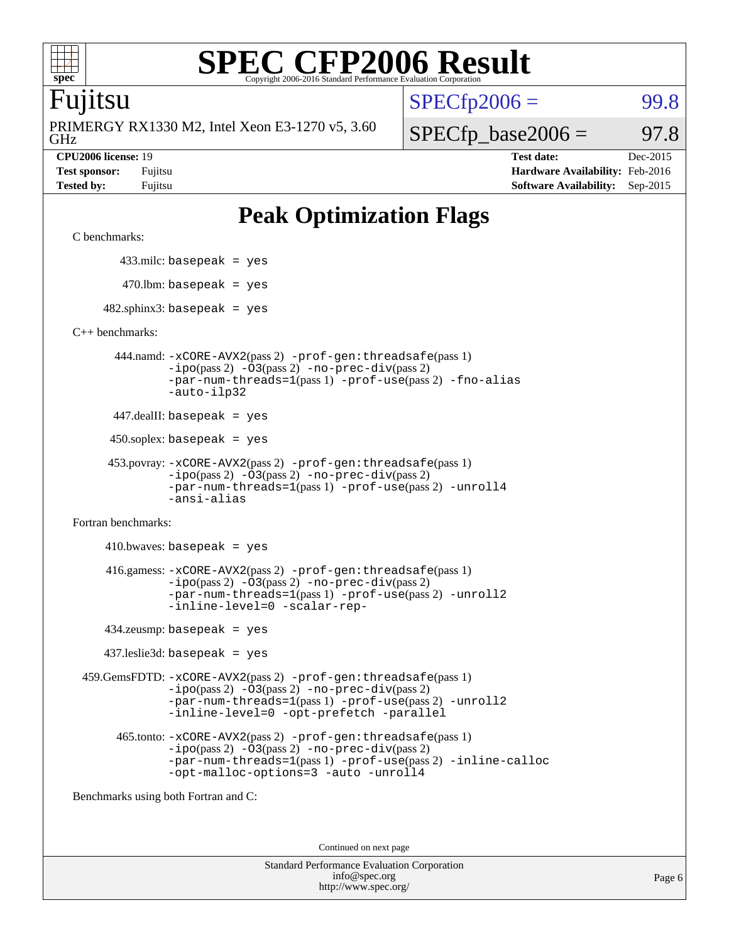

### Fujitsu

GHz PRIMERGY RX1330 M2, Intel Xeon E3-1270 v5, 3.60

 $SPECTp2006 =$  99.8

 $SPECfp\_base2006 = 97.8$ 

**[CPU2006 license:](http://www.spec.org/auto/cpu2006/Docs/result-fields.html#CPU2006license)** 19 **[Test date:](http://www.spec.org/auto/cpu2006/Docs/result-fields.html#Testdate)** Dec-2015 **[Test sponsor:](http://www.spec.org/auto/cpu2006/Docs/result-fields.html#Testsponsor)** Fujitsu **[Hardware Availability:](http://www.spec.org/auto/cpu2006/Docs/result-fields.html#HardwareAvailability)** Feb-2016 **[Tested by:](http://www.spec.org/auto/cpu2006/Docs/result-fields.html#Testedby)** Fujitsu **[Software Availability:](http://www.spec.org/auto/cpu2006/Docs/result-fields.html#SoftwareAvailability)** Sep-2015

## **[Peak Optimization Flags](http://www.spec.org/auto/cpu2006/Docs/result-fields.html#PeakOptimizationFlags)**

[C benchmarks](http://www.spec.org/auto/cpu2006/Docs/result-fields.html#Cbenchmarks):

433.milc: basepeak = yes

 $470.$ lbm: basepeak = yes

 $482$ .sphinx3: basepeak = yes

[C++ benchmarks:](http://www.spec.org/auto/cpu2006/Docs/result-fields.html#CXXbenchmarks)

 444.namd: [-xCORE-AVX2](http://www.spec.org/cpu2006/results/res2016q1/cpu2006-20160111-38667.flags.html#user_peakPASS2_CXXFLAGSPASS2_LDFLAGS444_namd_f-xAVX2_5f5fc0cbe2c9f62c816d3e45806c70d7)(pass 2) [-prof-gen:threadsafe](http://www.spec.org/cpu2006/results/res2016q1/cpu2006-20160111-38667.flags.html#user_peakPASS1_CXXFLAGSPASS1_LDFLAGS444_namd_prof_gen_21a26eb79f378b550acd7bec9fe4467a)(pass 1) [-ipo](http://www.spec.org/cpu2006/results/res2016q1/cpu2006-20160111-38667.flags.html#user_peakPASS2_CXXFLAGSPASS2_LDFLAGS444_namd_f-ipo)(pass 2) [-O3](http://www.spec.org/cpu2006/results/res2016q1/cpu2006-20160111-38667.flags.html#user_peakPASS2_CXXFLAGSPASS2_LDFLAGS444_namd_f-O3)(pass 2) [-no-prec-div](http://www.spec.org/cpu2006/results/res2016q1/cpu2006-20160111-38667.flags.html#user_peakPASS2_CXXFLAGSPASS2_LDFLAGS444_namd_f-no-prec-div)(pass 2) [-par-num-threads=1](http://www.spec.org/cpu2006/results/res2016q1/cpu2006-20160111-38667.flags.html#user_peakPASS1_CXXFLAGSPASS1_LDFLAGS444_namd_par_num_threads_786a6ff141b4e9e90432e998842df6c2)(pass 1) [-prof-use](http://www.spec.org/cpu2006/results/res2016q1/cpu2006-20160111-38667.flags.html#user_peakPASS2_CXXFLAGSPASS2_LDFLAGS444_namd_prof_use_bccf7792157ff70d64e32fe3e1250b55)(pass 2) [-fno-alias](http://www.spec.org/cpu2006/results/res2016q1/cpu2006-20160111-38667.flags.html#user_peakCXXOPTIMIZEOPTIMIZE444_namd_f-no-alias_694e77f6c5a51e658e82ccff53a9e63a) [-auto-ilp32](http://www.spec.org/cpu2006/results/res2016q1/cpu2006-20160111-38667.flags.html#user_peakCXXOPTIMIZE444_namd_f-auto-ilp32)

447.dealII: basepeak = yes

450.soplex: basepeak = yes

```
 453.povray: -xCORE-AVX2(pass 2) -prof-gen:threadsafe(pass 1)
-ipo(pass 2) -O3(pass 2) -no-prec-div(pass 2)
-par-num-threads=1(pass 1) -prof-use(pass 2) -unroll4
-ansi-alias
```
[Fortran benchmarks](http://www.spec.org/auto/cpu2006/Docs/result-fields.html#Fortranbenchmarks):

 $410.bwaves: basepeak = yes$  416.gamess: [-xCORE-AVX2](http://www.spec.org/cpu2006/results/res2016q1/cpu2006-20160111-38667.flags.html#user_peakPASS2_FFLAGSPASS2_LDFLAGS416_gamess_f-xAVX2_5f5fc0cbe2c9f62c816d3e45806c70d7)(pass 2) [-prof-gen:threadsafe](http://www.spec.org/cpu2006/results/res2016q1/cpu2006-20160111-38667.flags.html#user_peakPASS1_FFLAGSPASS1_LDFLAGS416_gamess_prof_gen_21a26eb79f378b550acd7bec9fe4467a)(pass 1)  $-i\text{po}(pass 2) -\text{O3}(pass 2)$  [-no-prec-div](http://www.spec.org/cpu2006/results/res2016q1/cpu2006-20160111-38667.flags.html#user_peakPASS2_FFLAGSPASS2_LDFLAGS416_gamess_f-no-prec-div)(pass 2) [-par-num-threads=1](http://www.spec.org/cpu2006/results/res2016q1/cpu2006-20160111-38667.flags.html#user_peakPASS1_FFLAGSPASS1_LDFLAGS416_gamess_par_num_threads_786a6ff141b4e9e90432e998842df6c2)(pass 1) [-prof-use](http://www.spec.org/cpu2006/results/res2016q1/cpu2006-20160111-38667.flags.html#user_peakPASS2_FFLAGSPASS2_LDFLAGS416_gamess_prof_use_bccf7792157ff70d64e32fe3e1250b55)(pass 2) [-unroll2](http://www.spec.org/cpu2006/results/res2016q1/cpu2006-20160111-38667.flags.html#user_peakOPTIMIZE416_gamess_f-unroll_784dae83bebfb236979b41d2422d7ec2) [-inline-level=0](http://www.spec.org/cpu2006/results/res2016q1/cpu2006-20160111-38667.flags.html#user_peakOPTIMIZE416_gamess_f-inline-level_318d07a09274ad25e8d15dbfaa68ba50) [-scalar-rep-](http://www.spec.org/cpu2006/results/res2016q1/cpu2006-20160111-38667.flags.html#user_peakOPTIMIZE416_gamess_f-disablescalarrep_abbcad04450fb118e4809c81d83c8a1d)

434.zeusmp: basepeak = yes

437.leslie3d: basepeak = yes

 459.GemsFDTD: [-xCORE-AVX2](http://www.spec.org/cpu2006/results/res2016q1/cpu2006-20160111-38667.flags.html#user_peakPASS2_FFLAGSPASS2_LDFLAGS459_GemsFDTD_f-xAVX2_5f5fc0cbe2c9f62c816d3e45806c70d7)(pass 2) [-prof-gen:threadsafe](http://www.spec.org/cpu2006/results/res2016q1/cpu2006-20160111-38667.flags.html#user_peakPASS1_FFLAGSPASS1_LDFLAGS459_GemsFDTD_prof_gen_21a26eb79f378b550acd7bec9fe4467a)(pass 1)  $-i\text{po}(pass 2) -03(pass 2) -no-prec-div(pass 2)$  $-i\text{po}(pass 2) -03(pass 2) -no-prec-div(pass 2)$  $-i\text{po}(pass 2) -03(pass 2) -no-prec-div(pass 2)$ [-par-num-threads=1](http://www.spec.org/cpu2006/results/res2016q1/cpu2006-20160111-38667.flags.html#user_peakPASS1_FFLAGSPASS1_LDFLAGS459_GemsFDTD_par_num_threads_786a6ff141b4e9e90432e998842df6c2)(pass 1) [-prof-use](http://www.spec.org/cpu2006/results/res2016q1/cpu2006-20160111-38667.flags.html#user_peakPASS2_FFLAGSPASS2_LDFLAGS459_GemsFDTD_prof_use_bccf7792157ff70d64e32fe3e1250b55)(pass 2) [-unroll2](http://www.spec.org/cpu2006/results/res2016q1/cpu2006-20160111-38667.flags.html#user_peakOPTIMIZE459_GemsFDTD_f-unroll_784dae83bebfb236979b41d2422d7ec2) [-inline-level=0](http://www.spec.org/cpu2006/results/res2016q1/cpu2006-20160111-38667.flags.html#user_peakOPTIMIZE459_GemsFDTD_f-inline-level_318d07a09274ad25e8d15dbfaa68ba50) [-opt-prefetch](http://www.spec.org/cpu2006/results/res2016q1/cpu2006-20160111-38667.flags.html#user_peakOPTIMIZE459_GemsFDTD_f-opt-prefetch) [-parallel](http://www.spec.org/cpu2006/results/res2016q1/cpu2006-20160111-38667.flags.html#user_peakOPTIMIZE459_GemsFDTD_f-parallel)

 465.tonto: [-xCORE-AVX2](http://www.spec.org/cpu2006/results/res2016q1/cpu2006-20160111-38667.flags.html#user_peakPASS2_FFLAGSPASS2_LDFLAGS465_tonto_f-xAVX2_5f5fc0cbe2c9f62c816d3e45806c70d7)(pass 2) [-prof-gen:threadsafe](http://www.spec.org/cpu2006/results/res2016q1/cpu2006-20160111-38667.flags.html#user_peakPASS1_FFLAGSPASS1_LDFLAGS465_tonto_prof_gen_21a26eb79f378b550acd7bec9fe4467a)(pass 1)  $-i\text{po}(pass 2) -\overline{O}3(pass 2)$  [-no-prec-div](http://www.spec.org/cpu2006/results/res2016q1/cpu2006-20160111-38667.flags.html#user_peakPASS2_FFLAGSPASS2_LDFLAGS465_tonto_f-no-prec-div)(pass 2) [-par-num-threads=1](http://www.spec.org/cpu2006/results/res2016q1/cpu2006-20160111-38667.flags.html#user_peakPASS1_FFLAGSPASS1_LDFLAGS465_tonto_par_num_threads_786a6ff141b4e9e90432e998842df6c2)(pass 1) [-prof-use](http://www.spec.org/cpu2006/results/res2016q1/cpu2006-20160111-38667.flags.html#user_peakPASS2_FFLAGSPASS2_LDFLAGS465_tonto_prof_use_bccf7792157ff70d64e32fe3e1250b55)(pass 2) [-inline-calloc](http://www.spec.org/cpu2006/results/res2016q1/cpu2006-20160111-38667.flags.html#user_peakOPTIMIZE465_tonto_f-inline-calloc) [-opt-malloc-options=3](http://www.spec.org/cpu2006/results/res2016q1/cpu2006-20160111-38667.flags.html#user_peakOPTIMIZE465_tonto_f-opt-malloc-options_13ab9b803cf986b4ee62f0a5998c2238) [-auto](http://www.spec.org/cpu2006/results/res2016q1/cpu2006-20160111-38667.flags.html#user_peakOPTIMIZE465_tonto_f-auto) [-unroll4](http://www.spec.org/cpu2006/results/res2016q1/cpu2006-20160111-38667.flags.html#user_peakOPTIMIZE465_tonto_f-unroll_4e5e4ed65b7fd20bdcd365bec371b81f)

[Benchmarks using both Fortran and C](http://www.spec.org/auto/cpu2006/Docs/result-fields.html#BenchmarksusingbothFortranandC):

Continued on next page